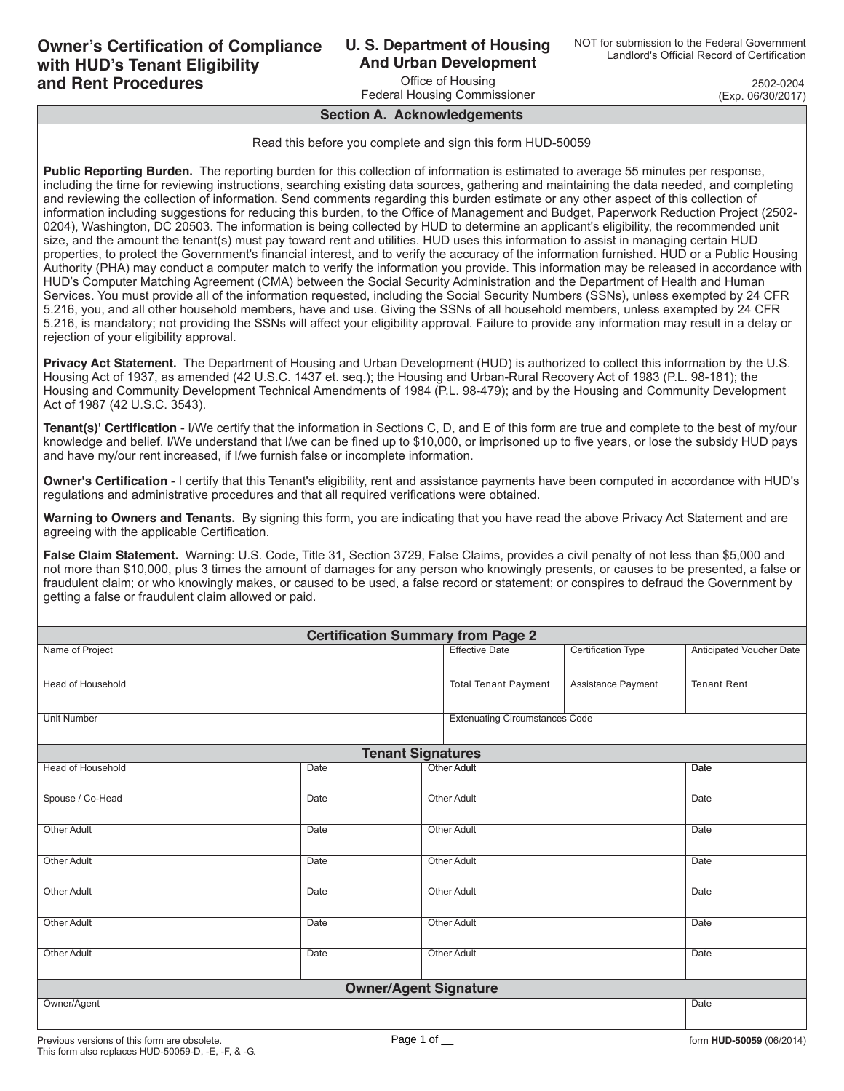### **U. S. Department of Housing And Urban Development**

Office of Housing Federal Housing Commissioner

OMB Approval No. 2502-0204 (Exp. 06/30/2017)

#### **Section A. Acknowledgements**

Read this before you complete and sign this form HUD-50059

**Public Reporting Burden.** The reporting burden for this collection of information is estimated to average 55 minutes per response. including the time for reviewing instructions, searching existing data sources, gathering and maintaining the data needed, and completing and reviewing the collection of information. Send comments regarding this burden estimate or any other aspect of this collection of information including suggestions for reducing this burden, to the Office of Management and Budget, Paperwork Reduction Project (2502- 0204), Washington, DC 20503. The information is being collected by HUD to determine an applicant's eligibility, the recommended unit size, and the amount the tenant(s) must pay toward rent and utilities. HUD uses this information to assist in managing certain HUD properties, to protect the Government's financial interest, and to verify the accuracy of the information furnished. HUD or a Public Housing Authority (PHA) may conduct a computer match to verify the information you provide. This information may be released in accordance with HUD's Computer Matching Agreement (CMA) between the Social Security Administration and the Department of Health and Human Services. You must provide all of the information requested, including the Social Security Numbers (SSNs), unless exempted by 24 CFR 5.216, you, and all other household members, have and use. Giving the SSNs of all household members, unless exempted by 24 CFR 5.216, is mandatory; not providing the SSNs will affect your eligibility approval. Failure to provide any information may result in a delay or rejection of your eligibility approval.

**Privacy Act Statement.** The Department of Housing and Urban Development (HUD) is authorized to collect this information by the U.S. Housing Act of 1937, as amended (42 U.S.C. 1437 et. seq.); the Housing and Urban-Rural Recovery Act of 1983 (P.L. 98-181); the Housing and Community Development Technical Amendments of 1984 (P.L. 98-479); and by the Housing and Community Development Act of 1987 (42 U.S.C. 3543).

**Tenant(s)' Certification** - I/We certify that the information in Sections C, D, and E of this form are true and complete to the best of my/our knowledge and belief. I/We understand that I/we can be fined up to \$10,000, or imprisoned up to five years, or lose the subsidy HUD pays and have my/our rent increased, if I/we furnish false or incomplete information.

**Owner's Certification** - I certify that this Tenant's eligibility, rent and assistance payments have been computed in accordance with HUD's regulations and administrative procedures and that all required verifications were obtained.

**Warning to Owners and Tenants.** By signing this form, you are indicating that you have read the above Privacy Act Statement and are agreeing with the applicable Certification.

**False Claim Statement.** Warning: U.S. Code, Title 31, Section 3729, False Claims, provides a civil penalty of not less than \$5,000 and not more than \$10,000, plus 3 times the amount of damages for any person who knowingly presents, or causes to be presented, a false or fraudulent claim; or who knowingly makes, or caused to be used, a false record or statement; or conspires to defraud the Government by getting a false or fraudulent claim allowed or paid.

| <b>Certification Summary from Page 2</b> |             |                                       |                           |                          |  |  |  |  |  |  |  |  |
|------------------------------------------|-------------|---------------------------------------|---------------------------|--------------------------|--|--|--|--|--|--|--|--|
| Name of Project                          |             | <b>Effective Date</b>                 | <b>Certification Type</b> | Anticipated Voucher Date |  |  |  |  |  |  |  |  |
| <b>Head of Household</b>                 |             | <b>Total Tenant Payment</b>           | Assistance Payment        | <b>Tenant Rent</b>       |  |  |  |  |  |  |  |  |
| <b>Unit Number</b>                       |             | <b>Extenuating Circumstances Code</b> |                           |                          |  |  |  |  |  |  |  |  |
|                                          |             |                                       |                           |                          |  |  |  |  |  |  |  |  |
| <b>Head of Household</b>                 | Date        |                                       | <b>Other Adult</b>        | <b>Date</b>              |  |  |  |  |  |  |  |  |
| Spouse / Co-Head                         | <b>Date</b> |                                       | <b>Other Adult</b>        | <b>Date</b>              |  |  |  |  |  |  |  |  |
| <b>Other Adult</b>                       | Date        |                                       | <b>Other Adult</b>        | Date                     |  |  |  |  |  |  |  |  |
| <b>Other Adult</b>                       | <b>Date</b> | <b>Other Adult</b>                    | Date                      |                          |  |  |  |  |  |  |  |  |
| Other Adult                              | <b>Date</b> | <b>Other Adult</b>                    | Date                      |                          |  |  |  |  |  |  |  |  |
| <b>Other Adult</b>                       | <b>Date</b> |                                       | Other Adult               | <b>Date</b>              |  |  |  |  |  |  |  |  |
| <b>Other Adult</b>                       | Date        | <b>Other Adult</b>                    | <b>Date</b>               |                          |  |  |  |  |  |  |  |  |
|                                          |             |                                       |                           |                          |  |  |  |  |  |  |  |  |
| Owner/Agent<br><b>Date</b>               |             |                                       |                           |                          |  |  |  |  |  |  |  |  |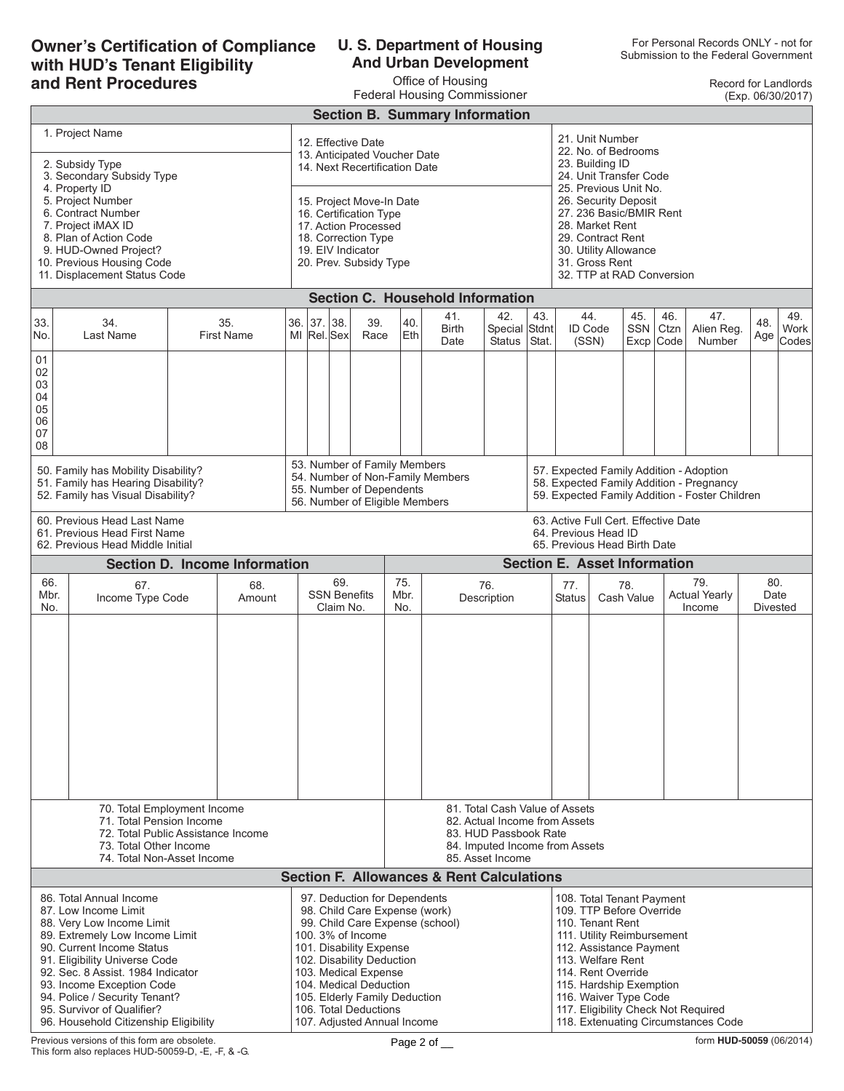### **Owner's Certification of Compliance with HUD's Tenant Eligibility and Rent Procedures**

### **U. S. Department of Housing And Urban Development**

Office of Housing

Record for Landlords (Exp. 06/30/2017)

| <b>Federal Housing Commissioner</b><br>(Exp. 06/30/2017)                                                                                                                                                                                                                                                                                                                                                                                                                                                                                                                                                   |                                                                                                                                                       |                                                                                            |                                                                                                                                                |                                  |  |                              |                                                                                                                                       |                                                                                                                                                                                                                                                                          |                                                                                              |                                       |              |                                                                                                                                                                                                                                                                                 |                   |                         |             |                                       |            |                                |  |  |
|------------------------------------------------------------------------------------------------------------------------------------------------------------------------------------------------------------------------------------------------------------------------------------------------------------------------------------------------------------------------------------------------------------------------------------------------------------------------------------------------------------------------------------------------------------------------------------------------------------|-------------------------------------------------------------------------------------------------------------------------------------------------------|--------------------------------------------------------------------------------------------|------------------------------------------------------------------------------------------------------------------------------------------------|----------------------------------|--|------------------------------|---------------------------------------------------------------------------------------------------------------------------------------|--------------------------------------------------------------------------------------------------------------------------------------------------------------------------------------------------------------------------------------------------------------------------|----------------------------------------------------------------------------------------------|---------------------------------------|--------------|---------------------------------------------------------------------------------------------------------------------------------------------------------------------------------------------------------------------------------------------------------------------------------|-------------------|-------------------------|-------------|---------------------------------------|------------|--------------------------------|--|--|
| <b>Section B. Summary Information</b>                                                                                                                                                                                                                                                                                                                                                                                                                                                                                                                                                                      |                                                                                                                                                       |                                                                                            |                                                                                                                                                |                                  |  |                              |                                                                                                                                       |                                                                                                                                                                                                                                                                          |                                                                                              |                                       |              |                                                                                                                                                                                                                                                                                 |                   |                         |             |                                       |            |                                |  |  |
| 1. Project Name<br>12. Effective Date<br>13. Anticipated Voucher Date<br>2. Subsidy Type<br>14. Next Recertification Date<br>3. Secondary Subsidy Type<br>4. Property ID<br>5. Project Number<br>15. Project Move-In Date<br>6. Contract Number<br>16. Certification Type<br>7. Project iMAX ID<br>17. Action Processed<br>8. Plan of Action Code<br>18. Correction Type<br>9. HUD-Owned Project?<br>19. EIV Indicator<br>10. Previous Housing Code<br>20. Prev. Subsidy Type<br>11. Displacement Status Code                                                                                              |                                                                                                                                                       |                                                                                            |                                                                                                                                                |                                  |  |                              |                                                                                                                                       |                                                                                                                                                                                                                                                                          |                                                                                              |                                       |              | 21. Unit Number<br>22. No. of Bedrooms<br>23. Building ID<br>24. Unit Transfer Code<br>25. Previous Unit No.<br>26. Security Deposit<br>27. 236 Basic/BMIR Rent<br>28. Market Rent<br>29. Contract Rent<br>30. Utility Allowance<br>31. Gross Rent<br>32. TTP at RAD Conversion |                   |                         |             |                                       |            |                                |  |  |
|                                                                                                                                                                                                                                                                                                                                                                                                                                                                                                                                                                                                            |                                                                                                                                                       |                                                                                            |                                                                                                                                                |                                  |  |                              |                                                                                                                                       |                                                                                                                                                                                                                                                                          | <b>Section C. Household Information</b>                                                      |                                       |              |                                                                                                                                                                                                                                                                                 |                   |                         |             |                                       |            |                                |  |  |
| 33.<br>No.                                                                                                                                                                                                                                                                                                                                                                                                                                                                                                                                                                                                 | 35.<br>34.<br>Last Name<br><b>First Name</b>                                                                                                          |                                                                                            |                                                                                                                                                |                                  |  | 36.  37.  38.<br>MI Rel. Sex | 39.<br>Race                                                                                                                           | 40.<br>Eth                                                                                                                                                                                                                                                               | 41.<br>Birth<br>Date                                                                         | 42.<br>Special Stdnt<br><b>Status</b> | 43.<br>Stat. | 44.<br>ID Code<br>(SSN)                                                                                                                                                                                                                                                         |                   | 45.<br>SSN<br>Excp Code | 46.<br>Ctzn | 47.<br>Alien Reg.<br>Number           | 48.<br>Age | 49.<br>Work<br>Codes           |  |  |
| 01<br>02<br>03<br>04<br>05<br>06<br>07<br>08                                                                                                                                                                                                                                                                                                                                                                                                                                                                                                                                                               |                                                                                                                                                       |                                                                                            |                                                                                                                                                |                                  |  |                              |                                                                                                                                       |                                                                                                                                                                                                                                                                          |                                                                                              |                                       |              |                                                                                                                                                                                                                                                                                 |                   |                         |             |                                       |            |                                |  |  |
|                                                                                                                                                                                                                                                                                                                                                                                                                                                                                                                                                                                                            | 50. Family has Mobility Disability?<br>51. Family has Hearing Disability?<br>52. Family has Visual Disability?                                        | 53. Number of Family Members<br>55. Number of Dependents<br>56. Number of Eligible Members |                                                                                                                                                | 54. Number of Non-Family Members |  |                              | 57. Expected Family Addition - Adoption<br>58. Expected Family Addition - Pregnancy<br>59. Expected Family Addition - Foster Children |                                                                                                                                                                                                                                                                          |                                                                                              |                                       |              |                                                                                                                                                                                                                                                                                 |                   |                         |             |                                       |            |                                |  |  |
|                                                                                                                                                                                                                                                                                                                                                                                                                                                                                                                                                                                                            | 60. Previous Head Last Name<br>61. Previous Head First Name<br>62. Previous Head Middle Initial                                                       |                                                                                            |                                                                                                                                                |                                  |  |                              |                                                                                                                                       |                                                                                                                                                                                                                                                                          | 63. Active Full Cert. Effective Date<br>64. Previous Head ID<br>65. Previous Head Birth Date |                                       |              |                                                                                                                                                                                                                                                                                 |                   |                         |             |                                       |            |                                |  |  |
|                                                                                                                                                                                                                                                                                                                                                                                                                                                                                                                                                                                                            |                                                                                                                                                       |                                                                                            | <b>Section D. Income Information</b>                                                                                                           |                                  |  |                              |                                                                                                                                       | <b>Section E. Asset Information</b>                                                                                                                                                                                                                                      |                                                                                              |                                       |              |                                                                                                                                                                                                                                                                                 |                   |                         |             |                                       |            |                                |  |  |
|                                                                                                                                                                                                                                                                                                                                                                                                                                                                                                                                                                                                            | 66.<br>67.<br>68.<br>Mbr.<br>Income Type Code<br>Amount<br>No.                                                                                        |                                                                                            |                                                                                                                                                |                                  |  |                              | <b>SSN Benefits</b><br>Claim No.                                                                                                      | 75.<br>Mbr.<br>No.                                                                                                                                                                                                                                                       | 76.<br>Description                                                                           |                                       |              | 77.<br><b>Status</b>                                                                                                                                                                                                                                                            | 78.<br>Cash Value |                         |             | 79.<br><b>Actual Yearly</b><br>Income |            | 80.<br>Date<br><b>Divested</b> |  |  |
|                                                                                                                                                                                                                                                                                                                                                                                                                                                                                                                                                                                                            |                                                                                                                                                       |                                                                                            |                                                                                                                                                |                                  |  |                              |                                                                                                                                       |                                                                                                                                                                                                                                                                          |                                                                                              |                                       |              |                                                                                                                                                                                                                                                                                 |                   |                         |             |                                       |            |                                |  |  |
|                                                                                                                                                                                                                                                                                                                                                                                                                                                                                                                                                                                                            | 70. Total Employment Income<br>71. Total Pension Income<br>72. Total Public Assistance Income<br>73. Total Other Income<br>74. Total Non-Asset Income |                                                                                            | 81. Total Cash Value of Assets<br>82. Actual Income from Assets<br>83. HUD Passbook Rate<br>84. Imputed Income from Assets<br>85. Asset Income |                                  |  |                              |                                                                                                                                       |                                                                                                                                                                                                                                                                          |                                                                                              |                                       |              |                                                                                                                                                                                                                                                                                 |                   |                         |             |                                       |            |                                |  |  |
| <b>Section F. Allowances &amp; Rent Calculations</b>                                                                                                                                                                                                                                                                                                                                                                                                                                                                                                                                                       |                                                                                                                                                       |                                                                                            |                                                                                                                                                |                                  |  |                              |                                                                                                                                       |                                                                                                                                                                                                                                                                          |                                                                                              |                                       |              |                                                                                                                                                                                                                                                                                 |                   |                         |             |                                       |            |                                |  |  |
| 86. Total Annual Income<br>97. Deduction for Dependents<br>87. Low Income Limit<br>98. Child Care Expense (work)<br>88. Very Low Income Limit<br>99. Child Care Expense (school)<br>89. Extremely Low Income Limit<br>100, 3% of Income<br>90. Current Income Status<br>101. Disability Expense<br>102. Disability Deduction<br>91. Eligibility Universe Code<br>92. Sec. 8 Assist. 1984 Indicator<br>103. Medical Expense<br>93. Income Exception Code<br>104. Medical Deduction<br>94. Police / Security Tenant?<br>105. Elderly Family Deduction<br>95. Survivor of Qualifier?<br>106. Total Deductions |                                                                                                                                                       |                                                                                            |                                                                                                                                                |                                  |  |                              |                                                                                                                                       | 108. Total Tenant Payment<br>109. TTP Before Override<br>110. Tenant Rent<br>111. Utility Reimbursement<br>112. Assistance Payment<br>113. Welfare Rent<br>114. Rent Override<br>115. Hardship Exemption<br>116. Waiver Type Code<br>117. Eligibility Check Not Required |                                                                                              |                                       |              |                                                                                                                                                                                                                                                                                 |                   |                         |             |                                       |            |                                |  |  |

96. Household Citizenship Eligibility

107. Adjusted Annual Income

118. Extenuating Circumstances Code